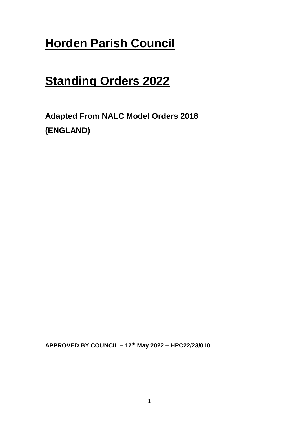# **Horden Parish Council**

# **Standing Orders 2022**

**Adapted From NALC Model Orders 2018 (ENGLAND)**

**APPROVED BY COUNCIL – 12th May 2022 – HPC22/23/010**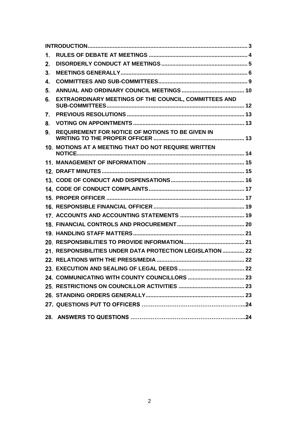| 1. |                                                            |  |
|----|------------------------------------------------------------|--|
| 2. |                                                            |  |
| 3. |                                                            |  |
| 4. |                                                            |  |
| 5. |                                                            |  |
| 6. | EXTRAORDINARY MEETINGS OF THE COUNCIL, COMMITTEES AND      |  |
| 7. |                                                            |  |
| 8. |                                                            |  |
| 9. | <b>REQUIREMENT FOR NOTICE OF MOTIONS TO BE GIVEN IN</b>    |  |
|    | 10. MOTIONS AT A MEETING THAT DO NOT REQUIRE WRITTEN       |  |
|    |                                                            |  |
|    |                                                            |  |
|    |                                                            |  |
|    |                                                            |  |
|    |                                                            |  |
|    |                                                            |  |
|    |                                                            |  |
|    |                                                            |  |
|    |                                                            |  |
|    |                                                            |  |
|    | 21. RESPONSIBILITIES UNDER DATA PROTECTION LEGISLATION  22 |  |
|    |                                                            |  |
|    |                                                            |  |
|    |                                                            |  |
|    |                                                            |  |
|    |                                                            |  |
|    |                                                            |  |
|    |                                                            |  |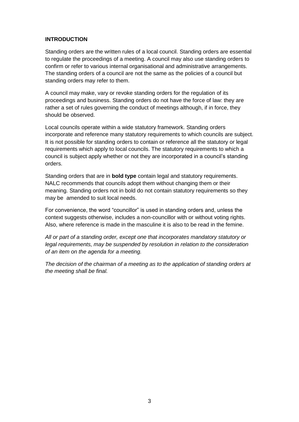# <span id="page-2-0"></span>**INTRODUCTION**

Standing orders are the written rules of a local council. Standing orders are essential to regulate the proceedings of a meeting. A council may also use standing orders to confirm or refer to various internal organisational and administrative arrangements. The standing orders of a council are not the same as the policies of a council but standing orders may refer to them.

A council may make, vary or revoke standing orders for the regulation of its proceedings and business. Standing orders do not have the force of law: they are rather a set of rules governing the conduct of meetings although, if in force, they should be observed.

Local councils operate within a wide statutory framework. Standing orders incorporate and reference many statutory requirements to which councils are subject. It is not possible for standing orders to contain or reference all the statutory or legal requirements which apply to local councils. The statutory requirements to which a council is subject apply whether or not they are incorporated in a council's standing orders.

Standing orders that are in **bold type** contain legal and statutory requirements. NALC recommends that councils adopt them without changing them or their meaning. Standing orders not in bold do not contain statutory requirements so they may be amended to suit local needs.

For convenience, the word "councillor" is used in standing orders and, unless the context suggests otherwise, includes a non-councillor with or without voting rights. Also, where reference is made in the masculine it is also to be read in the femine.

*All or part of a standing order, except one that incorporates mandatory statutory or legal requirements, may be suspended by resolution in relation to the consideration of an item on the agenda for a meeting.*

*The decision of the chairman of a meeting as to the application of standing orders at the meeting shall be final.*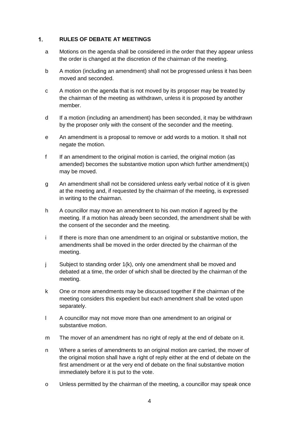#### <span id="page-3-0"></span> $1.$ **RULES OF DEBATE AT MEETINGS**

- a Motions on the agenda shall be considered in the order that they appear unless the order is changed at the discretion of the chairman of the meeting.
- b A motion (including an amendment) shall not be progressed unless it has been moved and seconded.
- c A motion on the agenda that is not moved by its proposer may be treated by the chairman of the meeting as withdrawn, unless it is proposed by another member.
- d If a motion (including an amendment) has been seconded, it may be withdrawn by the proposer only with the consent of the seconder and the meeting.
- e An amendment is a proposal to remove or add words to a motion. It shall not negate the motion.
- f If an amendment to the original motion is carried, the original motion (as amended) becomes the substantive motion upon which further amendment(s) may be moved.
- g An amendment shall not be considered unless early verbal notice of it is given at the meeting and, if requested by the chairman of the meeting, is expressed in writing to the chairman.
- h A councillor may move an amendment to his own motion if agreed by the meeting. If a motion has already been seconded, the amendment shall be with the consent of the seconder and the meeting.
- i If there is more than one amendment to an original or substantive motion, the amendments shall be moved in the order directed by the chairman of the meeting.
- j Subject to standing order 1(k), only one amendment shall be moved and debated at a time, the order of which shall be directed by the chairman of the meeting.
- k One or more amendments may be discussed together if the chairman of the meeting considers this expedient but each amendment shall be voted upon separately.
- l A councillor may not move more than one amendment to an original or substantive motion.
- m The mover of an amendment has no right of reply at the end of debate on it.
- n Where a series of amendments to an original motion are carried, the mover of the original motion shall have a right of reply either at the end of debate on the first amendment or at the very end of debate on the final substantive motion immediately before it is put to the vote.
- o Unless permitted by the chairman of the meeting, a councillor may speak once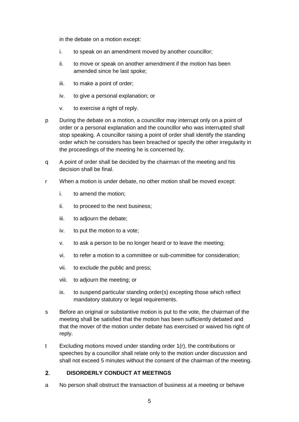in the debate on a motion except:

- i. to speak on an amendment moved by another councillor;
- ii. to move or speak on another amendment if the motion has been amended since he last spoke;
- iii. to make a point of order;
- iv. to give a personal explanation; or
- v. to exercise a right of reply.
- p During the debate on a motion, a councillor may interrupt only on a point of order or a personal explanation and the councillor who was interrupted shall stop speaking. A councillor raising a point of order shall identify the standing order which he considers has been breached or specify the other irregularity in the proceedings of the meeting he is concerned by.
- q A point of order shall be decided by the chairman of the meeting and his decision shall be final.
- r When a motion is under debate, no other motion shall be moved except:
	- i. to amend the motion;
	- ii. to proceed to the next business;
	- iii. to adjourn the debate;
	- iv. to put the motion to a vote;
	- v. to ask a person to be no longer heard or to leave the meeting;
	- vi. to refer a motion to a committee or sub-committee for consideration;
	- vii. to exclude the public and press;
	- viii. to adjourn the meeting; or
	- ix. to suspend particular standing order(s) excepting those which reflect mandatory statutory or legal requirements.
- s Before an original or substantive motion is put to the vote, the chairman of the meeting shall be satisfied that the motion has been sufficiently debated and that the mover of the motion under debate has exercised or waived his right of reply.
- t Excluding motions moved under standing order 1(r), the contributions or speeches by a councillor shall relate only to the motion under discussion and shall not exceed 5 minutes without the consent of the chairman of the meeting.

#### <span id="page-4-0"></span> $2.$ **DISORDERLY CONDUCT AT MEETINGS**

a No person shall obstruct the transaction of business at a meeting or behave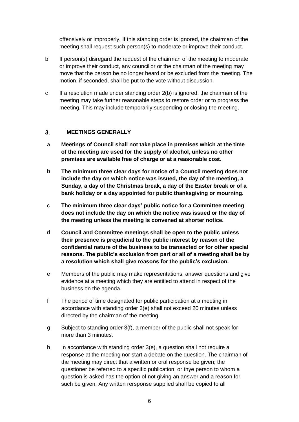offensively or improperly. If this standing order is ignored, the chairman of the meeting shall request such person(s) to moderate or improve their conduct.

- b If person(s) disregard the request of the chairman of the meeting to moderate or improve their conduct, any councillor or the chairman of the meeting may move that the person be no longer heard or be excluded from the meeting. The motion, if seconded, shall be put to the vote without discussion.
- c If a resolution made under standing order 2(b) is ignored, the chairman of the meeting may take further reasonable steps to restore order or to progress the meeting. This may include temporarily suspending or closing the meeting.

#### <span id="page-5-0"></span> $3<sub>1</sub>$ **MEETINGS GENERALLY**

- a **Meetings of Council shall not take place in premises which at the time of the meeting are used for the supply of alcohol, unless no other premises are available free of charge or at a reasonable cost.**
- b **The minimum three clear days for notice of a Council meeting does not include the day on which notice was issued, the day of the meeting, a Sunday, a day of the Christmas break, a day of the Easter break or of a bank holiday or a day appointed for public thanksgiving or mourning.**
- c **The minimum three clear days' public notice for a Committee meeting does not include the day on which the notice was issued or the day of the meeting unless the meeting is convened at shorter notice.**
- d **Council and Committee meetings shall be open to the public unless their presence is prejudicial to the public interest by reason of the confidential nature of the business to be transacted or for other special reasons. The public's exclusion from part or all of a meeting shall be by a resolution which shall give reasons for the public's exclusion.**
- e Members of the public may make representations, answer questions and give evidence at a meeting which they are entitled to attend in respect of the business on the agenda.
- f The period of time designated for public participation at a meeting in accordance with standing order 3(e) shall not exceed 20 minutes unless directed by the chairman of the meeting.
- g Subject to standing order 3(f), a member of the public shall not speak for more than 3 minutes.
- h In accordance with standing order 3(e), a question shall not require a response at the meeting nor start a debate on the question. The chairman of the meeting may direct that a written or oral response be given; the questioner be referred to a specific publication; or thye person to whom a question is asked has the option of not giving an answer and a reason for such be given. Any written rersponse supplied shall be copied to all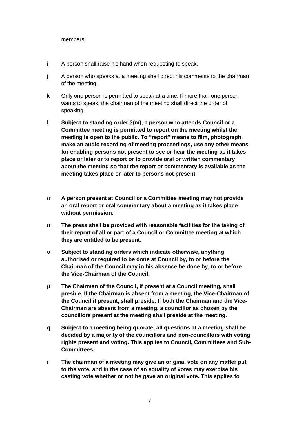members.

- i A person shall raise his hand when requesting to speak.
- j A person who speaks at a meeting shall direct his comments to the chairman of the meeting.
- k Only one person is permitted to speak at a time. If more than one person wants to speak, the chairman of the meeting shall direct the order of speaking.
- l **Subject to standing order 3(m), a person who attends Council or a Committee meeting is permitted to report on the meeting whilst the meeting is open to the public. To "report" means to film, photograph, make an audio recording of meeting proceedings, use any other means for enabling persons not present to see or hear the meeting as it takes place or later or to report or to provide oral or written commentary about the meeting so that the report or commentary is available as the meeting takes place or later to persons not present.**
- m **A person present at Council or a Committee meeting may not provide an oral report or oral commentary about a meeting as it takes place without permission.**
- n **The press shall be provided with reasonable facilities for the taking of their report of all or part of a Council or Committee meeting at which they are entitled to be present.**
- o **Subject to standing orders which indicate otherwise, anything authorised or required to be done at Council by, to or before the Chairman of the Council may in his absence be done by, to or before the Vice-Chairman of the Council.**
- p **The Chairman of the Council, if present at a Council meeting, shall preside. If the Chairman is absent from a meeting, the Vice-Chairman of the Council if present, shall preside. If both the Chairman and the Vice-Chairman are absent from a meeting, a councillor as chosen by the councillors present at the meeting shall preside at the meeting.**
- q **Subject to a meeting being quorate, all questions at a meeting shall be decided by a majority of the councillors and non-councillors with voting rights present and voting. This applies to Council, Committees and Sub-Committees.**
- r **The chairman of a meeting may give an original vote on any matter put to the vote, and in the case of an equality of votes may exercise his casting vote whether or not he gave an original vote. This applies to**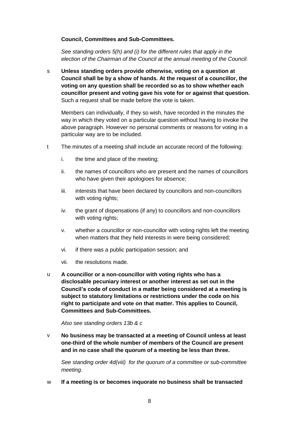## **Council, Committees and Sub-Committees.**

*See standing orders 5(h) and (i) for the different rules that apply in the election of the Chairman of the Council at the annual meeting of the Council.*

s **Unless standing orders provide otherwise, voting on a question at Council shall be by a show of hands. At the request of a councillor, the voting on any question shall be recorded so as to show whether each councillor present and voting gave his vote for or against that question.**  Such a request shall be made before the vote is taken.

Members can individually, if they so wish, have recorded in the minutes the way in which they voted on a particular question without having to invoke the above paragraph. However no personal comments or reasons for voting in a particular way are to be included.

- t The minutes of a meeting shall include an accurate record of the following:
	- i. the time and place of the meeting;
	- ii. the names of councillors who are present and the names of councillors who have given their apologioes for absence;
	- iii. interests that have been declared by councillors and non-councillors with voting rights;
	- iv. the grant of dispensations (if any) to councillors and non-councillors with voting rights;
	- v. whether a councillor or non-councillor with voting rights left the meeting when matters that they held interests in were being considered;
	- vi. if there was a public participation session; and
	- vii. the resolutions made.
- u **A councillor or a non-councillor with voting rights who has a disclosable pecuniary interest or another interest as set out in the Council's code of conduct in a matter being considered at a meeting is subject to statutory limitations or restrictions under the code on his right to participate and vote on that matter. This applies to Council, Committees and Sub-Committees.**

*Also see standing orders 13b & c*

v **No business may be transacted at a meeting of Council unless at least one-third of the whole number of members of the Council are present and in no case shall the quorum of a meeting be less than three.**

*See standing order 4d(viii) for the quorum of a committee or sub-committee meeting.* 

w **If a meeting is or becomes inquorate no business shall be transacted**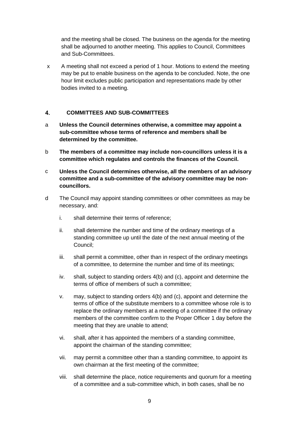and the meeting shall be closed. The business on the agenda for the meeting shall be adjourned to another meeting. This applies to Council, Committees and Sub-Committees.

x A meeting shall not exceed a period of 1 hour. Motions to extend the meeting may be put to enable business on the agenda to be concluded. Note, the one hour limit excludes public participation and representations made by other bodies invited to a meeting.

#### <span id="page-8-0"></span> $\overline{4}$ . **COMMITTEES AND SUB-COMMITTEES**

- a **Unless the Council determines otherwise, a committee may appoint a sub-committee whose terms of reference and members shall be determined by the committee.**
- b **The members of a committee may include non-councillors unless it is a committee which regulates and controls the finances of the Council.**
- c **Unless the Council determines otherwise, all the members of an advisory committee and a sub-committee of the advisory committee may be noncouncillors.**
- d The Council may appoint standing committees or other committees as may be necessary, and:
	- i. shall determine their terms of reference;
	- ii. shall determine the number and time of the ordinary meetings of a standing committee up until the date of the next annual meeting of the Council;
	- iii. shall permit a committee, other than in respect of the ordinary meetings of a committee, to determine the number and time of its meetings;
	- iv. shall, subject to standing orders 4(b) and (c), appoint and determine the terms of office of members of such a committee;
	- v. may, subject to standing orders 4(b) and (c), appoint and determine the terms of office of the substitute members to a committee whose role is to replace the ordinary members at a meeting of a committee if the ordinary members of the committee confirm to the Proper Officer 1 day before the meeting that they are unable to attend;
	- vi. shall, after it has appointed the members of a standing committee, appoint the chairman of the standing committee;
	- vii. may permit a committee other than a standing committee, to appoint its own chairman at the first meeting of the committee;
	- viii. shall determine the place, notice requirements and quorum for a meeting of a committee and a sub-committee which, in both cases, shall be no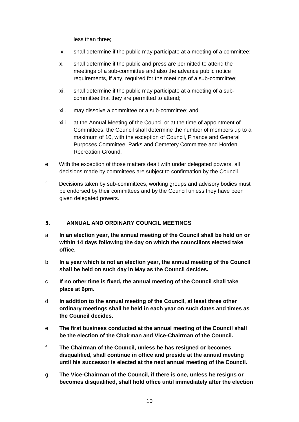less than three;

- ix. shall determine if the public may participate at a meeting of a committee;
- x. shall determine if the public and press are permitted to attend the meetings of a sub-committee and also the advance public notice requirements, if any, required for the meetings of a sub-committee;
- xi. shall determine if the public may participate at a meeting of a subcommittee that they are permitted to attend;
- xii. may dissolve a committee or a sub-committee; and
- xiii. at the Annual Meeting of the Council or at the time of appointment of Committees, the Council shall determine the number of members up to a maximum of 10, with the exception of Council, Finance and General Purposes Committee, Parks and Cemetery Committee and Horden Recreation Ground.
- e With the exception of those matters dealt with under delegated powers, all decisions made by committees are subject to confirmation by the Council.
- f Decisions taken by sub-committees, working groups and advisory bodies must be endorsed by their committees and by the Council unless they have been given delegated powers.

#### <span id="page-9-0"></span> $5<sub>1</sub>$ **ANNUAL AND ORDINARY COUNCIL MEETINGS**

- a **In an election year, the annual meeting of the Council shall be held on or within 14 days following the day on which the councillors elected take office.**
- b **In a year which is not an election year, the annual meeting of the Council shall be held on such day in May as the Council decides.**
- c **If no other time is fixed, the annual meeting of the Council shall take place at 6pm.**
- d **In addition to the annual meeting of the Council, at least three other ordinary meetings shall be held in each year on such dates and times as the Council decides.**
- e **The first business conducted at the annual meeting of the Council shall be the election of the Chairman and Vice-Chairman of the Council.**
- f **The Chairman of the Council, unless he has resigned or becomes disqualified, shall continue in office and preside at the annual meeting until his successor is elected at the next annual meeting of the Council.**
- g **The Vice-Chairman of the Council, if there is one, unless he resigns or becomes disqualified, shall hold office until immediately after the election**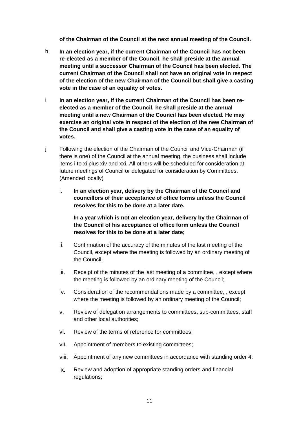**of the Chairman of the Council at the next annual meeting of the Council.**

- h **In an election year, if the current Chairman of the Council has not been re-elected as a member of the Council, he shall preside at the annual meeting until a successor Chairman of the Council has been elected. The current Chairman of the Council shall not have an original vote in respect of the election of the new Chairman of the Council but shall give a casting vote in the case of an equality of votes.**
- i **In an election year, if the current Chairman of the Council has been reelected as a member of the Council, he shall preside at the annual meeting until a new Chairman of the Council has been elected. He may exercise an original vote in respect of the election of the new Chairman of the Council and shall give a casting vote in the case of an equality of votes.**
- j Following the election of the Chairman of the Council and Vice-Chairman (if there is one) of the Council at the annual meeting, the business shall include items i to xi plus xiv and xxi. All others will be scheduled for consideration at future meetings of Council or delegated for consideration by Committees. (Amended locally)
	- i. **In an election year, delivery by the Chairman of the Council and councillors of their acceptance of office forms unless the Council resolves for this to be done at a later date.**

**In a year which is not an election year, delivery by the Chairman of the Council of his acceptance of office form unless the Council resolves for this to be done at a later date;**

- ii. Confirmation of the accuracy of the minutes of the last meeting of the Council, except where the meeting is followed by an ordinary meeting of the Council;
- iii. Receipt of the minutes of the last meeting of a committee, , except where the meeting is followed by an ordinary meeting of the Council;
- iv. Consideration of the recommendations made by a committee, , except where the meeting is followed by an ordinary meeting of the Council;
- v. Review of delegation arrangements to committees, sub-committees, staff and other local authorities;
- vi. Review of the terms of reference for committees;
- vii. Appointment of members to existing committees;
- viii. Appointment of any new committees in accordance with standing order 4;
- ix. Review and adoption of appropriate standing orders and financial regulations;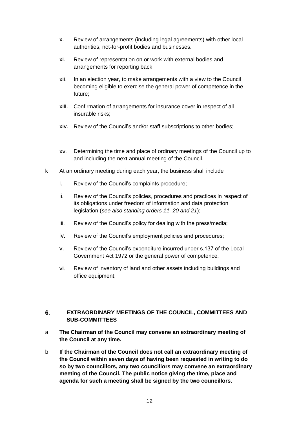- x. Review of arrangements (including legal agreements) with other local authorities, not-for-profit bodies and businesses.
- xi. Review of representation on or work with external bodies and arrangements for reporting back;
- xii. In an election year, to make arrangements with a view to the Council becoming eligible to exercise the general power of competence in the future;
- xiii. Confirmation of arrangements for insurance cover in respect of all insurable risks;
- xiv. Review of the Council's and/or staff subscriptions to other bodies;
- xv. Determining the time and place of ordinary meetings of the Council up to and including the next annual meeting of the Council.
- k At an ordinary meeting during each year, the business shall include
	- i. Review of the Council's complaints procedure;
	- ii. Review of the Council's policies, procedures and practices in respect of its obligations under freedom of information and data protection legislation (*see also standing orders 11, 20 and 21*);
	- iii. Review of the Council's policy for dealing with the press/media;
	- iv. Review of the Council's employment policies and procedures;
	- v. Review of the Council's expenditure incurred under s.137 of the Local Government Act 1972 or the general power of competence.
	- vi. Review of inventory of land and other assets including buildings and office equipment;

### <span id="page-11-0"></span>6. **EXTRAORDINARY MEETINGS OF THE COUNCIL, COMMITTEES AND SUB-COMMITTEES**

- a **The Chairman of the Council may convene an extraordinary meeting of the Council at any time.**
- b **If the Chairman of the Council does not call an extraordinary meeting of the Council within seven days of having been requested in writing to do so by two councillors, any two councillors may convene an extraordinary meeting of the Council. The public notice giving the time, place and agenda for such a meeting shall be signed by the two councillors.**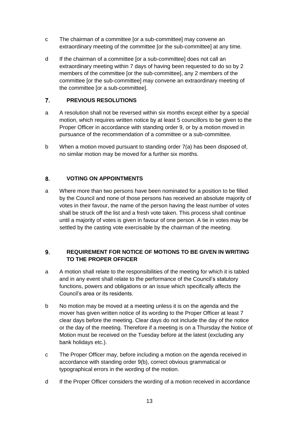- c The chairman of a committee [or a sub-committee] may convene an extraordinary meeting of the committee [or the sub-committee] at any time.
- d If the chairman of a committee [or a sub-committee] does not call an extraordinary meeting within 7 days of having been requested to do so by 2 members of the committee [or the sub-committee], any 2 members of the committee [or the sub-committee] may convene an extraordinary meeting of the committee [or a sub-committee].

#### <span id="page-12-0"></span> $7<sub>1</sub>$ **PREVIOUS RESOLUTIONS**

- a A resolution shall not be reversed within six months except either by a special motion, which requires written notice by at least 5 councillors to be given to the Proper Officer in accordance with standing order 9, or by a motion moved in pursuance of the recommendation of a committee or a sub-committee.
- b When a motion moved pursuant to standing order 7(a) has been disposed of, no similar motion may be moved for a further six months.

#### <span id="page-12-1"></span>8. **VOTING ON APPOINTMENTS**

a Where more than two persons have been nominated for a position to be filled by the Council and none of those persons has received an absolute majority of votes in their favour, the name of the person having the least number of votes shall be struck off the list and a fresh vote taken. This process shall continue until a majority of votes is given in favour of one person. A tie in votes may be settled by the casting vote exercisable by the chairman of the meeting.

### <span id="page-12-2"></span> $9<sub>1</sub>$ **REQUIREMENT FOR NOTICE OF MOTIONS TO BE GIVEN IN WRITING TO THE PROPER OFFICER**

- a A motion shall relate to the responsibilities of the meeting for which it is tabled and in any event shall relate to the performance of the Council's statutory functions, powers and obligations or an issue which specifically affects the Council's area or its residents.
- b No motion may be moved at a meeting unless it is on the agenda and the mover has given written notice of its wording to the Proper Officer at least 7 clear days before the meeting. Clear days do not include the day of the notice or the day of the meeting. Therefore if a meeting is on a Thursday the Notice of Motion must be received on the Tuesday before at the latest (excluding any bank holidays etc.).
- c The Proper Officer may, before including a motion on the agenda received in accordance with standing order 9(b), correct obvious grammatical or typographical errors in the wording of the motion.
- d If the Proper Officer considers the wording of a motion received in accordance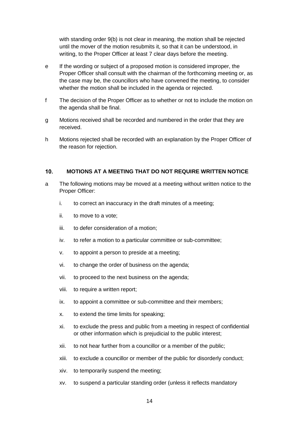with standing order 9(b) is not clear in meaning, the motion shall be rejected until the mover of the motion resubmits it, so that it can be understood, in writing, to the Proper Officer at least 7 clear days before the meeting.

- e If the wording or subject of a proposed motion is considered improper, the Proper Officer shall consult with the chairman of the forthcoming meeting or, as the case may be, the councillors who have convened the meeting, to consider whether the motion shall be included in the agenda or rejected.
- f The decision of the Proper Officer as to whether or not to include the motion on the agenda shall be final.
- g Motions received shall be recorded and numbered in the order that they are received.
- h Motions rejected shall be recorded with an explanation by the Proper Officer of the reason for rejection.

#### <span id="page-13-0"></span> $10<sub>1</sub>$ **MOTIONS AT A MEETING THAT DO NOT REQUIRE WRITTEN NOTICE**

- a The following motions may be moved at a meeting without written notice to the Proper Officer:
	- i. to correct an inaccuracy in the draft minutes of a meeting;
	- ii. to move to a vote;
	- iii. to defer consideration of a motion;
	- iv. to refer a motion to a particular committee or sub-committee;
	- v. to appoint a person to preside at a meeting;
	- vi. to change the order of business on the agenda;
	- vii. to proceed to the next business on the agenda;
	- viii. to require a written report;
	- ix. to appoint a committee or sub-committee and their members;
	- x. to extend the time limits for speaking;
	- xi. to exclude the press and public from a meeting in respect of confidential or other information which is prejudicial to the public interest;
	- xii. to not hear further from a councillor or a member of the public;
	- xiii. to exclude a councillor or member of the public for disorderly conduct;
	- xiv. to temporarily suspend the meeting;
	- xv. to suspend a particular standing order (unless it reflects mandatory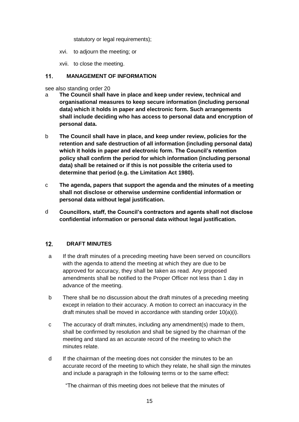statutory or legal requirements);

- xvi. to adjourn the meeting; or
- xvii. to close the meeting.

#### <span id="page-14-0"></span> $11.$ **MANAGEMENT OF INFORMATION**

## see also standing order 20

- a **The Council shall have in place and keep under review, technical and organisational measures to keep secure information (including personal data) which it holds in paper and electronic form. Such arrangements shall include deciding who has access to personal data and encryption of personal data.**
- b **The Council shall have in place, and keep under review, policies for the retention and safe destruction of all information (including personal data) which it holds in paper and electronic form. The Council's retention policy shall confirm the period for which information (including personal data) shall be retained or if this is not possible the criteria used to determine that period (e.g. the Limitation Act 1980).**
- c **The agenda, papers that support the agenda and the minutes of a meeting shall not disclose or otherwise undermine confidential information or personal data without legal justification.**
- d **Councillors, staff, the Council's contractors and agents shall not disclose confidential information or personal data without legal justification.**

#### <span id="page-14-1"></span> $12.$ **DRAFT MINUTES**

- a If the draft minutes of a preceding meeting have been served on councillors with the agenda to attend the meeting at which they are due to be approved for accuracy, they shall be taken as read. Any proposed amendments shall be notified to the Proper Officer not less than 1 day in advance of the meeting.
- b There shall be no discussion about the draft minutes of a preceding meeting except in relation to their accuracy. A motion to correct an inaccuracy in the draft minutes shall be moved in accordance with standing order 10(a)(i).
- c The accuracy of draft minutes, including any amendment(s) made to them, shall be confirmed by resolution and shall be signed by the chairman of the meeting and stand as an accurate record of the meeting to which the minutes relate.
- d If the chairman of the meeting does not consider the minutes to be an accurate record of the meeting to which they relate, he shall sign the minutes and include a paragraph in the following terms or to the same effect:

"The chairman of this meeting does not believe that the minutes of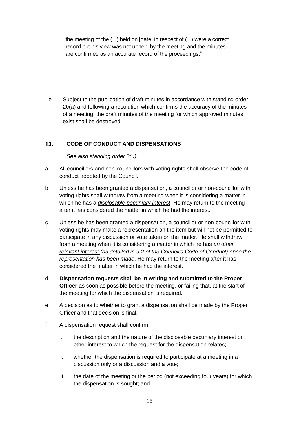the meeting of the ( ) held on [date] in respect of ( ) were a correct record but his view was not upheld by the meeting and the minutes are confirmed as an accurate record of the proceedings."

e Subject to the publication of draft minutes in accordance with standing order 20(a) and following a resolution which confirms the accuracy of the minutes of a meeting, the draft minutes of the meeting for which approved minutes exist shall be destroyed.

#### <span id="page-15-0"></span> $13.$ **CODE OF CONDUCT AND DISPENSATIONS**

*See also standing order 3(u).*

- a All councillors and non-councillors with voting rights shall observe the code of conduct adopted by the Council.
- b Unless he has been granted a dispensation, a councillor or non-councillor with voting rights shall withdraw from a meeting when it is considering a matter in which he has a *disclosable pecuniary interest*. He may return to the meeting after it has considered the matter in which he had the interest.
- c Unless he has been granted a dispensation, a councillor or non-councillor with voting rights may make a representation on the item but will not be permitted to participate in any discussion or vote taken on the matter. He shall withdraw from a meeting when it is considering a matter in which he has *an other relevant interest (as detailed in 9.2 of the Council's Code of Conduct) once the representation has been made*. He may return to the meeting after it has considered the matter in which he had the interest.
- d **Dispensation requests shall be in writing and submitted to the Proper Officer** as soon as possible before the meeting, or failing that, at the start of the meeting for which the dispensation is required.
- e A decision as to whether to grant a dispensation shall be made by the Proper Officer and that decision is final.
- f A dispensation request shall confirm:
	- i. the description and the nature of the disclosable pecuniary interest or other interest to which the request for the dispensation relates;
	- ii. whether the dispensation is required to participate at a meeting in a discussion only or a discussion and a vote;
	- iii. the date of the meeting or the period (not exceeding four years) for which the dispensation is sought; and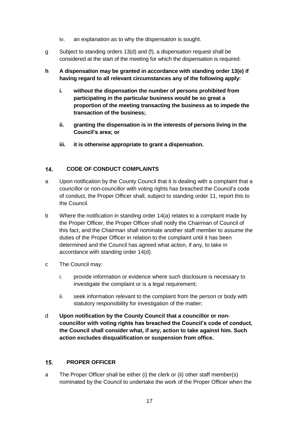- iv. an explanation as to why the dispensation is sought.
- g Subject to standing orders 13(d) and (f), a dispensation request shall be considered at the start of the meeting for which the dispensation is required.
- **h A dispensation may be granted in accordance with standing order 13(e) if having regard to all relevant circumstances any of the following apply:**
	- **i. without the dispensation the number of persons prohibited from participating in the particular business would be so great a proportion of the meeting transacting the business as to impede the transaction of the business;**
	- **ii. granting the dispensation is in the interests of persons living in the Council's area; or**
	- **iii. it is otherwise appropriate to grant a dispensation.**

#### <span id="page-16-0"></span> $14.$ **CODE OF CONDUCT COMPLAINTS**

- a Upon notification by the County Council that it is dealing with a complaint that a councillor or non-councillor with voting rights has breached the Council's code of conduct, the Proper Officer shall, subject to standing order 11, report this to the Council.
- b Where the notification in standing order 14(a) relates to a complaint made by the Proper Officer, the Proper Officer shall notify the Chairman of Council of this fact, and the Chairman shall nominate another staff member to assume the duties of the Proper Officer in relation to the complaint until it has been determined and the Council has agreed what action, if any, to take in accordance with standing order 14(d).
- c The Council may:
	- i. provide information or evidence where such disclosure is necessary to investigate the complaint or is a legal requirement;
	- ii. seek information relevant to the complaint from the person or body with statutory responsibility for investigation of the matter;
- d **Upon notification by the County Council that a councillor or noncouncillor with voting rights has breached the Council's code of conduct, the Council shall consider what, if any, action to take against him. Such action excludes disqualification or suspension from office.**

#### <span id="page-16-1"></span> $15.$ **PROPER OFFICER**

a The Proper Officer shall be either (i) the clerk or (ii) other staff member(s) nominated by the Council to undertake the work of the Proper Officer when the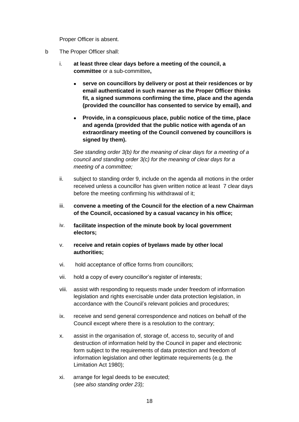Proper Officer is absent.

- b The Proper Officer shall:
	- i. **at least three clear days before a meeting of the council, a committee** or a sub-committee**,**
		- **serve on councillors by delivery or post at their residences or by email authenticated in such manner as the Proper Officer thinks fit, a signed summons confirming the time, place and the agenda (provided the councillor has consented to service by email), and**
		- **Provide, in a conspicuous place, public notice of the time, place and agenda (provided that the public notice with agenda of an extraordinary meeting of the Council convened by councillors is signed by them).**

*See standing order 3(b) for the meaning of clear days for a meeting of a council and standing order 3(c) for the meaning of clear days for a meeting of a committee;*

- ii. subject to standing order 9, include on the agenda all motions in the order received unless a councillor has given written notice at least 7 clear days before the meeting confirming his withdrawal of it;
- iii. **convene a meeting of the Council for the election of a new Chairman of the Council, occasioned by a casual vacancy in his office;**
- iv. **facilitate inspection of the minute book by local government electors;**
- v. **receive and retain copies of byelaws made by other local authorities;**
- vi. hold acceptance of office forms from councillors;
- vii. hold a copy of every councillor's register of interests;
- viii. assist with responding to requests made under freedom of information legislation and rights exercisable under data protection legislation, in accordance with the Council's relevant policies and procedures;
- ix. receive and send general correspondence and notices on behalf of the Council except where there is a resolution to the contrary;
- x. assist in the organisation of, storage of, access to, security of and destruction of information held by the Council in paper and electronic form subject to the requirements of data protection and freedom of information legislation and other legitimate requirements (e.g. the Limitation Act 1980);
- xi. arrange for legal deeds to be executed; (*see also standing order 23);*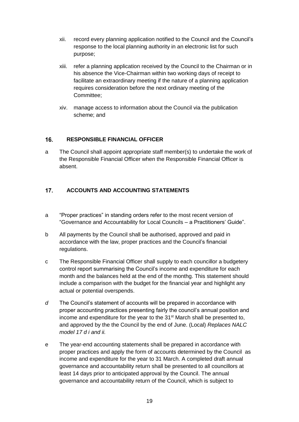- xii. record every planning application notified to the Council and the Council's response to the local planning authority in an electronic list for such purpose;
- xiii. refer a planning application received by the Council to the Chairman or in his absence the Vice-Chairman within two working days of receipt to facilitate an extraordinary meeting if the nature of a planning application requires consideration before the next ordinary meeting of the Committee;
- xiv. manage access to information about the Council via the publication scheme; and

#### <span id="page-18-0"></span>**RESPONSIBLE FINANCIAL OFFICER**   $16.$

a The Council shall appoint appropriate staff member(s) to undertake the work of the Responsible Financial Officer when the Responsible Financial Officer is absent.

#### <span id="page-18-1"></span> $17<sup>7</sup>$ **ACCOUNTS AND ACCOUNTING STATEMENTS**

- a "Proper practices" in standing orders refer to the most recent version of "Governance and Accountability for Local Councils – a Practitioners' Guide".
- b All payments by the Council shall be authorised, approved and paid in accordance with the law, proper practices and the Council's financial regulations.
- c The Responsible Financial Officer shall supply to each councillor a budgetery control report summarising the Council's income and expenditure for each month and the balances held at the end of the monthg. This statement should include a comparison with the budget for the financial year and highlight any actual or potential overspends.
- *d* The Council's statement of accounts will be prepared in accordance with proper accounting practices presenting fairly the council's annual position and income and expenditure for the year to the 31<sup>st</sup> March shall be presented to, and approved by the the Council by the end of June. (Local) *Replaces NALC model 17 d i and ii.*
- e The year-end accounting statements shall be prepared in accordance with proper practices and apply the form of accounts determined by the Council as income and expenditure for the year to 31 March. A completed draft annual governance and accountability return shall be presented to all councillors at least 14 days prior to anticipated approval by the Council. The annual governance and accountability return of the Council, which is subject to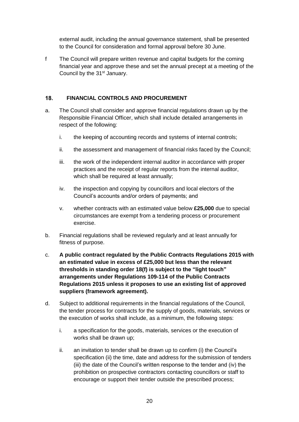external audit, including the annual governance statement, shall be presented to the Council for consideration and formal approval before 30 June.

f The Council will prepare written revenue and capital budgets for the coming financial year and approve these and set the annual precept at a meeting of the Council by the 31<sup>st</sup> January.

#### <span id="page-19-0"></span>18. **FINANCIAL CONTROLS AND PROCUREMENT**

- a. The Council shall consider and approve financial regulations drawn up by the Responsible Financial Officer, which shall include detailed arrangements in respect of the following:
	- i. the keeping of accounting records and systems of internal controls;
	- ii. the assessment and management of financial risks faced by the Council;
	- iii. the work of the independent internal auditor in accordance with proper practices and the receipt of regular reports from the internal auditor, which shall be required at least annually;
	- iv. the inspection and copying by councillors and local electors of the Council's accounts and/or orders of payments; and
	- v. whether contracts with an estimated value below **£25,000** due to special circumstances are exempt from a tendering process or procurement exercise.
- b. Financial regulations shall be reviewed regularly and at least annually for fitness of purpose.
- c. **A public contract regulated by the Public Contracts Regulations 2015 with an estimated value in excess of £25,000 but less than the relevant thresholds in standing order 18(f) is subject to the "light touch" arrangements under Regulations 109-114 of the Public Contracts Regulations 2015 unless it proposes to use an existing list of approved suppliers (framework agreement).**
- d. Subject to additional requirements in the financial regulations of the Council, the tender process for contracts for the supply of goods, materials, services or the execution of works shall include, as a minimum, the following steps:
	- i. a specification for the goods, materials, services or the execution of works shall be drawn up;
	- ii. an invitation to tender shall be drawn up to confirm (i) the Council's specification (ii) the time, date and address for the submission of tenders (iii) the date of the Council's written response to the tender and (iv) the prohibition on prospective contractors contacting councillors or staff to encourage or support their tender outside the prescribed process;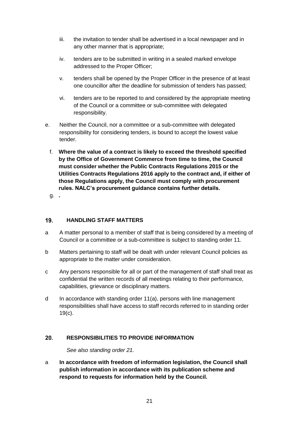- iii. the invitation to tender shall be advertised in a local newspaper and in any other manner that is appropriate;
- iv. tenders are to be submitted in writing in a sealed marked envelope addressed to the Proper Officer;
- v. tenders shall be opened by the Proper Officer in the presence of at least one councillor after the deadline for submission of tenders has passed;
- vi. tenders are to be reported to and considered by the appropriate meeting of the Council or a committee or sub-committee with delegated responsibility.
- e. Neither the Council, nor a committee or a sub-committee with delegated responsibility for considering tenders, is bound to accept the lowest value tender.
	- f. **Where the value of a contract is likely to exceed the threshold specified by the Office of Government Commerce from time to time, the Council must consider whether the Public Contracts Regulations 2015 or the Utilities Contracts Regulations 2016 apply to the contract and, if either of those Regulations apply, the Council must comply with procurement rules. NALC's procurement guidance contains further details.**

g. **.**

#### <span id="page-20-0"></span> $19.$ **HANDLING STAFF MATTERS**

- a A matter personal to a member of staff that is being considered by a meeting of Council or a committee or a sub-committee is subject to standing order 11.
- b Matters pertaining to staff will be dealt with under relevant Council policies as appropriate to the matter under consideration.
- c Any persons responsible for all or part of the management of staff shall treat as confidential the written records of all meetings relating to their performance, capabilities, grievance or disciplinary matters.
- d In accordance with standing order 11(a), persons with line management responsibilities shall have access to staff records referred to in standing order 19(c).

#### <span id="page-20-1"></span> $20.$ **RESPONSIBILITIES TO PROVIDE INFORMATION**

*See also standing order 21.*

a **In accordance with freedom of information legislation, the Council shall publish information in accordance with its publication scheme and respond to requests for information held by the Council.**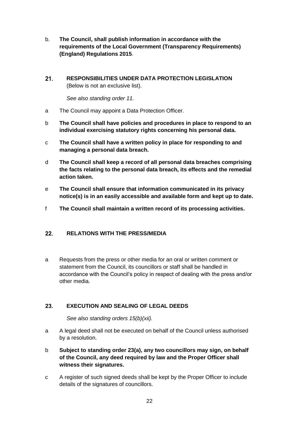- b. **The Council, shall publish information in accordance with the requirements of the Local Government (Transparency Requirements) (England) Regulations 2015**.
- <span id="page-21-0"></span> $21.$ **RESPONSIBILITIES UNDER DATA PROTECTION LEGISLATION**  (Below is not an exclusive list).

*See also standing order 11.*

- a The Council may appoint a Data Protection Officer.
- b **The Council shall have policies and procedures in place to respond to an individual exercising statutory rights concerning his personal data.**
- c **The Council shall have a written policy in place for responding to and managing a personal data breach.**
- d **The Council shall keep a record of all personal data breaches comprising the facts relating to the personal data breach, its effects and the remedial action taken.**
- e **The Council shall ensure that information communicated in its privacy notice(s) is in an easily accessible and available form and kept up to date.**
- f **The Council shall maintain a written record of its processing activities.**

#### <span id="page-21-1"></span> $22.$ **RELATIONS WITH THE PRESS/MEDIA**

a Requests from the press or other media for an oral or written comment or statement from the Council, its councillors or staff shall be handled in accordance with the Council's policy in respect of dealing with the press and/or other media.

#### <span id="page-21-2"></span>23. **EXECUTION AND SEALING OF LEGAL DEEDS**

*See also standing orders 15(b)(xii).*

- a A legal deed shall not be executed on behalf of the Council unless authorised by a resolution.
- b **Subject to standing order 23(a), any two councillors may sign, on behalf of the Council, any deed required by law and the Proper Officer shall witness their signatures.**
- c A register of such signed deeds shall be kept by the Proper Officer to include details of the signatures of councillors.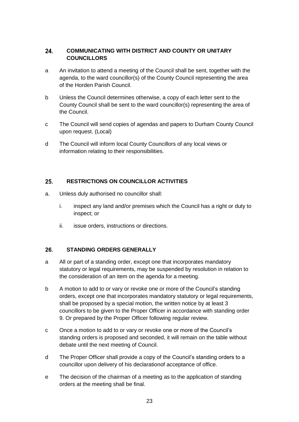## <span id="page-22-0"></span>24. **COMMUNICATING WITH DISTRICT AND COUNTY OR UNITARY COUNCILLORS**

- a An invitation to attend a meeting of the Council shall be sent, together with the agenda, to the ward councillor(s) of the County Council representing the area of the Horden Parish Council.
- b Unless the Council determines otherwise, a copy of each letter sent to the County Council shall be sent to the ward councillor(s) representing the area of the Council.
- c The Council will send copies of agendas and papers to Durham County Council upon request. (Local)
- d The Council will inform local County Councillors of any local views or information relating to their responsibilities.

#### <span id="page-22-1"></span>25. **RESTRICTIONS ON COUNCILLOR ACTIVITIES**

- a. Unless duly authorised no councillor shall:
	- i. inspect any land and/or premises which the Council has a right or duty to inspect; or
	- ii. issue orders, instructions or directions.

#### <span id="page-22-2"></span> $26.$ **STANDING ORDERS GENERALLY**

- a All or part of a standing order, except one that incorporates mandatory statutory or legal requirements, may be suspended by resolution in relation to the consideration of an item on the agenda for a meeting.
- b A motion to add to or vary or revoke one or more of the Council's standing orders, except one that incorporates mandatory statutory or legal requirements, shall be proposed by a special motion, the written notice by at least 3 councillors to be given to the Proper Officer in accordance with standing order 9. Or prepared by the Proper Officer following regular review.
- c Once a motion to add to or vary or revoke one or more of the Council's standing orders is proposed and seconded, it will remain on the table without debate until the next meeting of Council.
- d The Proper Officer shall provide a copy of the Council's standing orders to a councillor upon delivery of his declarationof acceptance of office.
- e The decision of the chairman of a meeting as to the application of standing orders at the meeting shall be final.